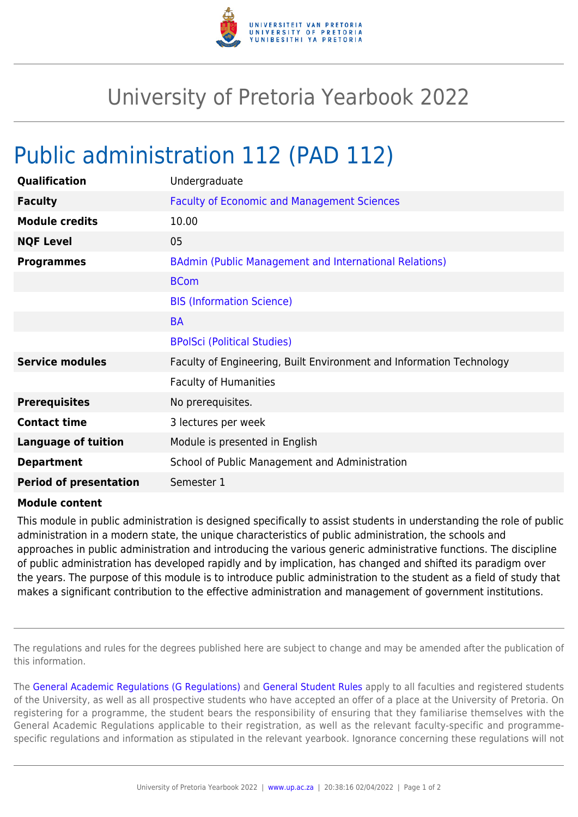

## University of Pretoria Yearbook 2022

## Public administration 112 (PAD 112)

| Undergraduate                                                        |
|----------------------------------------------------------------------|
| <b>Faculty of Economic and Management Sciences</b>                   |
| 10.00                                                                |
| 05                                                                   |
| BAdmin (Public Management and International Relations)               |
| <b>BCom</b>                                                          |
| <b>BIS (Information Science)</b>                                     |
| <b>BA</b>                                                            |
| <b>BPolSci (Political Studies)</b>                                   |
| Faculty of Engineering, Built Environment and Information Technology |
| <b>Faculty of Humanities</b>                                         |
| No prerequisites.                                                    |
| 3 lectures per week                                                  |
| Module is presented in English                                       |
| School of Public Management and Administration                       |
| Semester 1                                                           |
|                                                                      |

## **Module content**

This module in public administration is designed specifically to assist students in understanding the role of public administration in a modern state, the unique characteristics of public administration, the schools and approaches in public administration and introducing the various generic administrative functions. The discipline of public administration has developed rapidly and by implication, has changed and shifted its paradigm over the years. The purpose of this module is to introduce public administration to the student as a field of study that makes a significant contribution to the effective administration and management of government institutions.

The regulations and rules for the degrees published here are subject to change and may be amended after the publication of this information.

The [General Academic Regulations \(G Regulations\)](https://www.up.ac.za/mechanical-and-aeronautical-engineering/yearbooks/2022/rules/view/REG) and [General Student Rules](https://www.up.ac.za/mechanical-and-aeronautical-engineering/yearbooks/2022/rules/view/RUL) apply to all faculties and registered students of the University, as well as all prospective students who have accepted an offer of a place at the University of Pretoria. On registering for a programme, the student bears the responsibility of ensuring that they familiarise themselves with the General Academic Regulations applicable to their registration, as well as the relevant faculty-specific and programmespecific regulations and information as stipulated in the relevant yearbook. Ignorance concerning these regulations will not